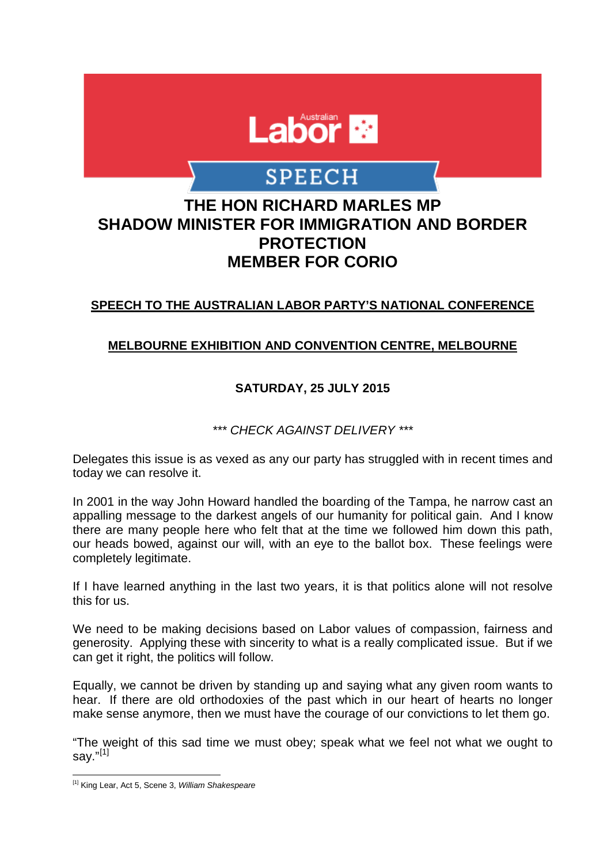

# **SPEECH**

# **THE HON RICHARD MARLES MP SHADOW MINISTER FOR IMMIGRATION AND BORDER PROTECTION MEMBER FOR CORIO**

## **SPEECH TO THE AUSTRALIAN LABOR PARTY'S NATIONAL CONFERENCE**

#### **MELBOURNE EXHIBITION AND CONVENTION CENTRE, MELBOURNE**

## **SATURDAY, 25 JULY 2015**

*\*\*\* CHECK AGAINST DELIVERY \*\*\**

Delegates this issue is as vexed as any our party has struggled with in recent times and today we can resolve it.

In 2001 in the way John Howard handled the boarding of the Tampa, he narrow cast an appalling message to the darkest angels of our humanity for political gain. And I know there are many people here who felt that at the time we followed him down this path, our heads bowed, against our will, with an eye to the ballot box. These feelings were completely legitimate.

If I have learned anything in the last two years, it is that politics alone will not resolve this for us.

We need to be making decisions based on Labor values of compassion, fairness and generosity. Applying these with sincerity to what is a really complicated issue. But if we can get it right, the politics will follow.

Equally, we cannot be driven by standing up and saying what any given room wants to hear. If there are old orthodoxies of the past which in our heart of hearts no longer make sense anymore, then we must have the courage of our convictions to let them go.

"The weight of this sad time we must obey; speak what we feel not what we ought to say." $^{[1]}$  $^{[1]}$  $^{[1]}$ 

<span id="page-0-0"></span> $\overline{\phantom{a}}$ [1] King Lear, Act 5, Scene 3, *William Shakespeare*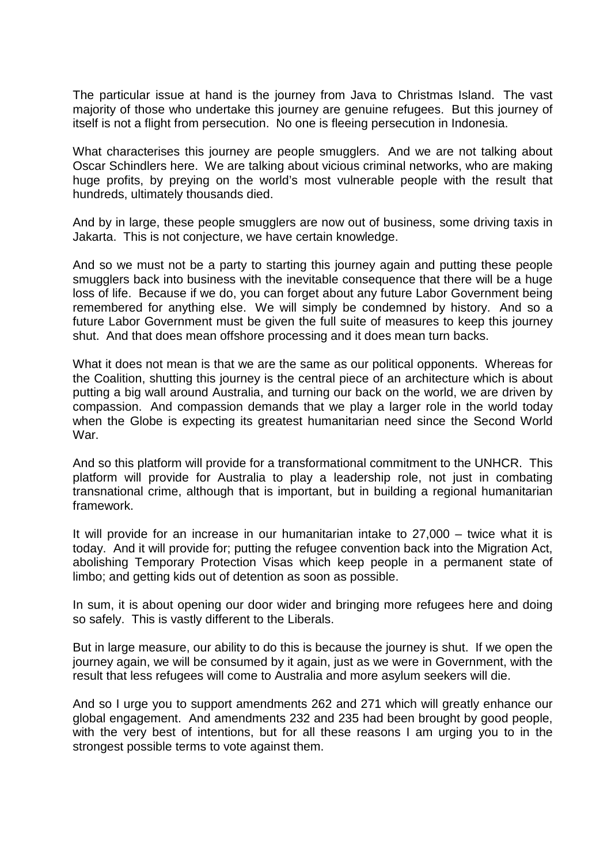The particular issue at hand is the journey from Java to Christmas Island. The vast majority of those who undertake this journey are genuine refugees. But this journey of itself is not a flight from persecution. No one is fleeing persecution in Indonesia.

What characterises this journey are people smugglers. And we are not talking about Oscar Schindlers here. We are talking about vicious criminal networks, who are making huge profits, by preying on the world's most vulnerable people with the result that hundreds, ultimately thousands died.

And by in large, these people smugglers are now out of business, some driving taxis in Jakarta. This is not conjecture, we have certain knowledge.

And so we must not be a party to starting this journey again and putting these people smugglers back into business with the inevitable consequence that there will be a huge loss of life. Because if we do, you can forget about any future Labor Government being remembered for anything else. We will simply be condemned by history. And so a future Labor Government must be given the full suite of measures to keep this journey shut. And that does mean offshore processing and it does mean turn backs.

What it does not mean is that we are the same as our political opponents. Whereas for the Coalition, shutting this journey is the central piece of an architecture which is about putting a big wall around Australia, and turning our back on the world, we are driven by compassion. And compassion demands that we play a larger role in the world today when the Globe is expecting its greatest humanitarian need since the Second World War.

And so this platform will provide for a transformational commitment to the UNHCR. This platform will provide for Australia to play a leadership role, not just in combating transnational crime, although that is important, but in building a regional humanitarian framework.

It will provide for an increase in our humanitarian intake to 27,000 – twice what it is today. And it will provide for; putting the refugee convention back into the Migration Act, abolishing Temporary Protection Visas which keep people in a permanent state of limbo; and getting kids out of detention as soon as possible.

In sum, it is about opening our door wider and bringing more refugees here and doing so safely. This is vastly different to the Liberals.

But in large measure, our ability to do this is because the journey is shut. If we open the journey again, we will be consumed by it again, just as we were in Government, with the result that less refugees will come to Australia and more asylum seekers will die.

And so I urge you to support amendments 262 and 271 which will greatly enhance our global engagement. And amendments 232 and 235 had been brought by good people, with the very best of intentions, but for all these reasons I am urging you to in the strongest possible terms to vote against them.